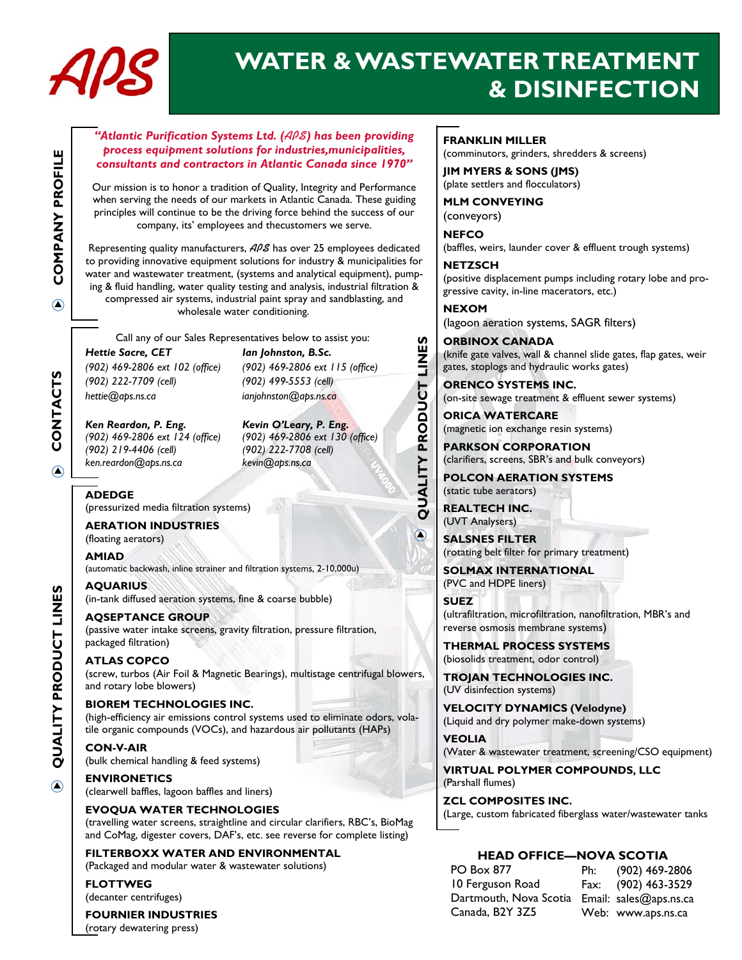

# **WATER & WASTEWATER TREATMENT & DISINFECTION**

#### *"Atlantic Purification Systems Ltd. (***APS***) has been providing process equipment solutions for industries,municipalities, consultants and contractors in Atlantic Canada since 1970"*

Our mission is to honor a tradition of Quality, Integrity and Performance when serving the needs of our markets in Atlantic Canada. These guiding principles will continue to be the driving force behind the success of our company, its' employees and thecustomers we serve.

Representing quality manufacturers, **APS** has over 25 employees dedicated to providing innovative equipment solutions for industry & municipalities for water and wastewater treatment, (systems and analytical equipment), pumping & fluid handling, water quality testing and analysis, industrial filtration &

compressed air systems, industrial paint spray and sandblasting, and wholesale water conditioning.

Call any of our Sales Representatives below to assist you:

*Hettie Sacre, CET Ian Johnston, B.Sc. (902) 469-2806 ext 102 (office) (902) 469-2806 ext 115 (office) (902) 222-7709 (cell) (902) 499-5553 (cell) hettie@aps.ns.ca ianjohnston@aps.ns.ca* 

*Ken Reardon, P. Eng. Kevin O'Leary, P. Eng. (902) 219-4406 (cell) (902) 222-7708 (cell) ken.reardon@aps.ns.ca kevin@aps.ns.ca* 

*(902) 469-2806 ext 124 (office) (902) 469-2806 ext 130 (office)* 

#### **ADEDGE**

(pressurized media filtration systems)

### **AERATION INDUSTRIES**

(floating aerators)

**AMIAD** 

(automatic backwash, inline strainer and filtration systems, 2-10,000u)

**AQUARIUS** (in-tank diffused aeration systems, fine & coarse bubble)

#### **AQSEPTANCE GROUP**

(passive water intake screens, gravity filtration, pressure filtration, packaged filtration)

#### **ATLAS COPCO**

(screw, turbos (Air Foil & Magnetic Bearings), multistage centrifugal blowers, and rotary lobe blowers)

#### **BIOREM TECHNOLOGIES INC.**

(high-efficiency air emissions control systems used to eliminate odors, volatile organic compounds (VOCs), and hazardous air pollutants (HAPs)

**CON-V-AIR**  (bulk chemical handling & feed systems)

#### **ENVIRONETICS**

(clearwell baffles, lagoon baffles and liners)

#### **EVOQUA WATER TECHNOLOGIES**

(travelling water screens, straightline and circular clarifiers, RBC's, BioMag and CoMag, digester covers, DAF's, etc. see reverse for complete listing)

#### **FILTERBOXX WATER AND ENVIRONMENTAL**  (Packaged and modular water & wastewater solutions)

**FLOTTWEG** 

(decanter centrifuges)

#### **FOURNIER INDUSTRIES**

(rotary dewatering press)

**FRANKLIN MILLER** 

(comminutors, grinders, shredders & screens)

**JIM MYERS & SONS (JMS)**  (plate settlers and flocculators)

**MLM CONVEYING**  (conveyors)

**NEFCO** 

(baffles, weirs, launder cover & effluent trough systems)

**NETZSCH**  (positive displacement pumps including rotary lobe and progressive cavity, in-line macerators, etc.)

**NEXOM**  (lagoon aeration systems, SAGR filters)

**ORBINOX CANADA**  (knife gate valves, wall & channel slide gates, flap gates, weir gates, stoplogs and hydraulic works gates)

**ORENCO SYSTEMS INC.**  (on-site sewage treatment & effluent sewer systems)

**ORICA WATERCARE**  (magnetic ion exchange resin systems)

**PARKSON CORPORATION**  (clarifiers, screens, SBR's and bulk conveyors)

**POLCON AERATION SYSTEMS**  (static tube aerators)

**REALTECH INC.**  (UVT Analysers)

**QUALITY PRODUCT LINES** 

QUALITY PRODUCT

∩

LINES

**SALSNES FILTER**  (rotating belt filter for primary treatment)

**SOLMAX INTERNATIONAL**  (PVC and HDPE liners)

**SUEZ**  (ultrafiltration, microfiltration, nanofiltration, MBR's and reverse osmosis membrane systems)

**THERMAL PROCESS SYSTEMS**  (biosolids treatment, odor control)

**TROJAN TECHNOLOGIES INC.**  (UV disinfection systems)

**VELOCITY DYNAMICS (Velodyne)**  (Liquid and dry polymer make-down systems)

**VEOLIA** 

(Water & wastewater treatment, screening/CSO equipment)

**VIRTUAL POLYMER COMPOUNDS, LLC**  (Parshall flumes)

**ZCL COMPOSITES INC.** 

#### (Large, custom fabricated fiberglass water/wastewater tanks

#### **HEAD OFFICE—NOVA SCOTIA**

| PO Box 877                                    | Ph: | (902) 469-2806      |
|-----------------------------------------------|-----|---------------------|
| 10 Ferguson Road                              |     | Fax: (902) 463-3529 |
| Dartmouth, Nova Scotia Email: sales@aps.ns.ca |     |                     |
| Canada, B2Y 3Z5                               |     | Web: www.aps.ns.ca  |

# **COMPANY PROFILE COMPANY PROFILE**  $\bigcirc$

**SHUALNOU** CONTACT  $\bigcirc$ 

**QUALITY PRODUCT LINES**  QUALITY PRODUCT LINES

 $\bigcirc$